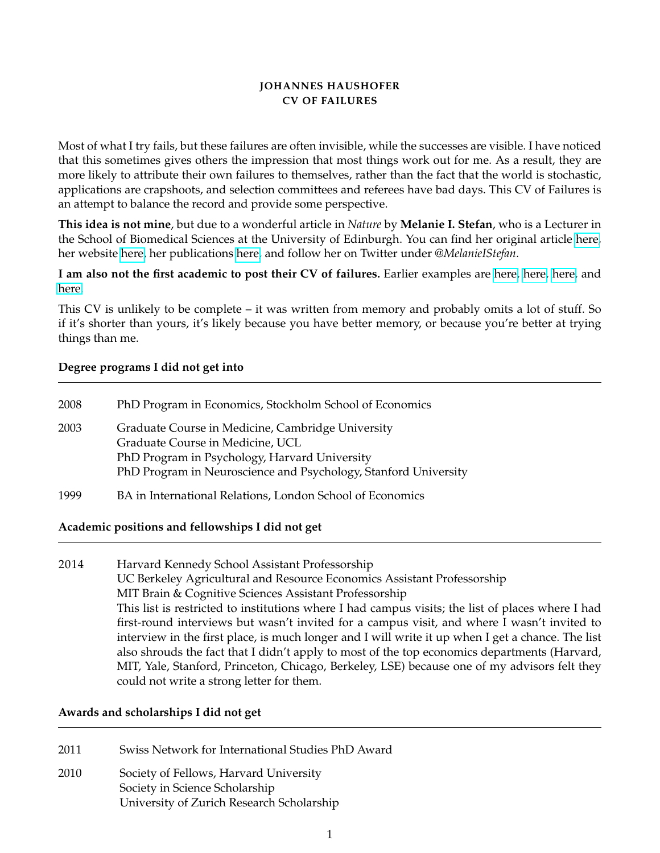### **JOHANNES HAUSHOFER CV OF FAILURES**

Most of what I try fails, but these failures are often invisible, while the successes are visible. I have noticed that this sometimes gives others the impression that most things work out for me. As a result, they are more likely to attribute their own failures to themselves, rather than the fact that the world is stochastic, applications are crapshoots, and selection committees and referees have bad days. This CV of Failures is an attempt to balance the record and provide some perspective.

**This idea is not mine**, but due to a wonderful article in *Nature* by **Melanie I. Stefan**, who is a Lecturer in the School of Biomedical Sciences at the University of Edinburgh. You can find her original article [here,](http://www.nature.com/naturejobs/science/articles/10.1038/nj7322-467a) her website [here,](http://melaniestefan.net) her publications [here,](https://scholar.google.com/citations?user=vXp6iicAAAAJ) and follow her on Twitter under *@MelanieIStefan*.

**I am also not the first academic to post their CV of failures.** Earlier examples are [here,](https://sites.google.com/site/bradleyvoytek/professional/voytek_cv.pdf) [here,](http://www.sararywe.se/) [here,](https://novoed.com/creativity13/reports/49074) and [here.](http://everydayscientist.com/CV/sjl_CV-failures.pdf)

This CV is unlikely to be complete – it was written from memory and probably omits a lot of stuff. So if it's shorter than yours, it's likely because you have better memory, or because you're better at trying things than me.

### **Degree programs I did not get into**

| 2008 | PhD Program in Economics, Stockholm School of Economics                                                                                                                                                   |
|------|-----------------------------------------------------------------------------------------------------------------------------------------------------------------------------------------------------------|
| 2003 | Graduate Course in Medicine, Cambridge University<br>Graduate Course in Medicine, UCL<br>PhD Program in Psychology, Harvard University<br>PhD Program in Neuroscience and Psychology, Stanford University |
| 1999 | BA in International Relations, London School of Economics                                                                                                                                                 |

## **Academic positions and fellowships I did not get**

# 2014 Harvard Kennedy School Assistant Professorship UC Berkeley Agricultural and Resource Economics Assistant Professorship MIT Brain & Cognitive Sciences Assistant Professorship This list is restricted to institutions where I had campus visits; the list of places where I had first-round interviews but wasn't invited for a campus visit, and where I wasn't invited to interview in the first place, is much longer and I will write it up when I get a chance. The list also shrouds the fact that I didn't apply to most of the top economics departments (Harvard, MIT, Yale, Stanford, Princeton, Chicago, Berkeley, LSE) because one of my advisors felt they could not write a strong letter for them.

#### **Awards and scholarships I did not get**

- 2011 Swiss Network for International Studies PhD Award
- 2010 Society of Fellows, Harvard University Society in Science Scholarship University of Zurich Research Scholarship